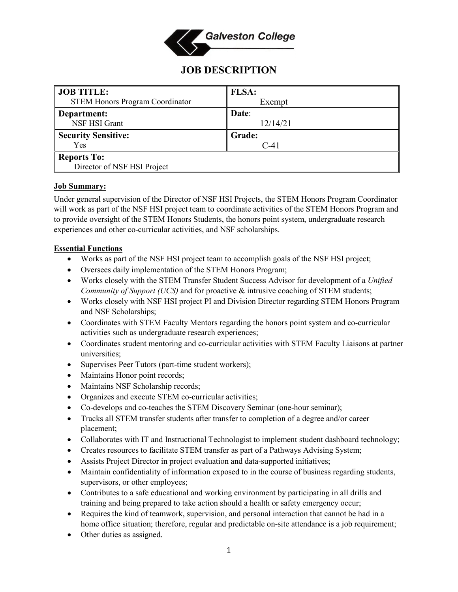

# **JOB DESCRIPTION**

| <b>JOB TITLE:</b>                      | <b>FLSA:</b>  |
|----------------------------------------|---------------|
| <b>STEM Honors Program Coordinator</b> | Exempt        |
| Department:                            | Date:         |
| NSF HSI Grant                          | 12/14/21      |
| <b>Security Sensitive:</b>             | <b>Grade:</b> |
| Yes                                    | $C-41$        |
| <b>Reports To:</b>                     |               |
| Director of NSF HSI Project            |               |

## **Job Summary:**

Under general supervision of the Director of NSF HSI Projects, the STEM Honors Program Coordinator will work as part of the NSF HSI project team to coordinate activities of the STEM Honors Program and to provide oversight of the STEM Honors Students, the honors point system, undergraduate research experiences and other co-curricular activities, and NSF scholarships.

# **Essential Functions**

- Works as part of the NSF HSI project team to accomplish goals of the NSF HSI project;
- Oversees daily implementation of the STEM Honors Program;
- Works closely with the STEM Transfer Student Success Advisor for development of a *Unified Community of Support (UCS)* and for proactive & intrusive coaching of STEM students;
- Works closely with NSF HSI project PI and Division Director regarding STEM Honors Program and NSF Scholarships;
- Coordinates with STEM Faculty Mentors regarding the honors point system and co-curricular activities such as undergraduate research experiences;
- Coordinates student mentoring and co-curricular activities with STEM Faculty Liaisons at partner universities;
- Supervises Peer Tutors (part-time student workers);
- Maintains Honor point records;
- Maintains NSF Scholarship records;
- Organizes and execute STEM co-curricular activities;
- Co-develops and co-teaches the STEM Discovery Seminar (one-hour seminar);
- Tracks all STEM transfer students after transfer to completion of a degree and/or career placement;
- Collaborates with IT and Instructional Technologist to implement student dashboard technology;
- Creates resources to facilitate STEM transfer as part of a Pathways Advising System;
- Assists Project Director in project evaluation and data-supported initiatives;
- Maintain confidentiality of information exposed to in the course of business regarding students, supervisors, or other employees;
- Contributes to a safe educational and working environment by participating in all drills and training and being prepared to take action should a health or safety emergency occur;
- Requires the kind of teamwork, supervision, and personal interaction that cannot be had in a home office situation; therefore, regular and predictable on-site attendance is a job requirement;
- Other duties as assigned.